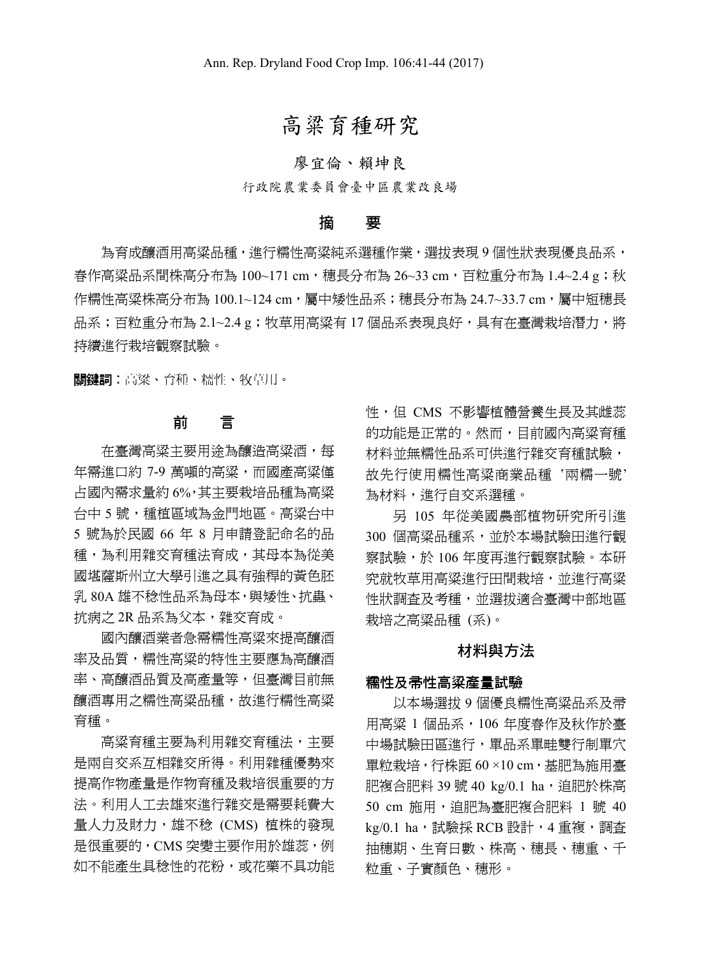# 高粱育種研究

# 廖宜倫、賴坤良

行政院農業委員會臺中區農業改良場

## 摘 要

為育成釀酒用高粱品種,進行糯性高粱純系選種作業,選拔表現 9 個性狀表現優良品系, 春作高粱品系間株高分布為 100~171 cm,穗長分布為 26~33 cm,百粒重分布為 1.4~2.4 g;秋 作糯性高粱株高分布為 100.1~124 cm,屬中矮性品系;穗長分布為 24.7~33.7 cm,屬中短穗長 品系;百粒重分布為 2.1~2.4 g;牧草用高粱有 17 個品系表現良好,具有在臺灣栽培潛力,將 持續進行栽培觀察試驗。

關鍵詞︰高粱、育種、糯性、牧草用。

## 前 言

在臺灣高粱主要用途為釀造高粱酒,每 年需進口約 7-9 萬噸的高粱,而國產高粱僅 占國內需求量約 6%,其主要栽培品種為高粱 台中 5 號,種植區域為金門地區。高粱台中 5 號為於民國 66 年 8 月申請登記命名的品 種,為利用雜交育種法育成,其母本為從美 國堪薩斯州立大學引進之具有強稈的黃色胚 乳 80A 雄不稔性品系為母本,與矮性、抗蟲、 抗病之 2R 品系為父本,雜交育成。

國內釀酒業者急需糯性高粱來提高釀酒 率及品質,糯性高粱的特性主要應為高釀酒 率、高釀酒品質及高產量等,但臺灣目前無 釀酒專用之糯性高粱品種,故進行糯性高粱 育種。

高粱育種主要為利用雜交育種法,主要 是兩自交系互相雜交所得。利用雜種優勢來 提高作物產量是作物育種及栽培很重要的方 法。利用人工去雄來進行雜交是需要耗費大 量人力及財力,雄不稔 (CMS) 植株的發現 是很重要的,CMS 突變主要作用於雄蕊,例 如不能產生具稔性的花粉,或花藥不具功能 性,但 CMS 不影響植體營養生長及其雌蕊 的功能是正常的。然而,目前國內高粱育種 材料並無糯性品系可供進行雜交育種試驗, 故先行使用糯性高粱商業品種 '兩糯一號' 為材料,進行自交系選種。

另 105 年從美國農部植物研究所引進 300 個高粱品種系,並於本場試驗田進行觀 察試驗,於 106 年度再進行觀察試驗。本研 **究就牧草用高粱淮行田間栽培,並淮行高粱** 性狀調查及考種,並選拔適合臺灣中部地區 栽培之高粱品種 (系)。

#### 材料與方法

### 糯性及帚性高粱產量試驗

以本場選拔 9 個優良糯性高粱品系及帚 用高粱 1 個品系,106 年度春作及秋作於臺 中場試驗田區進行,單品系單畦雙行制單穴 單粒栽培,行株距 60 ×10 cm,基肥為施用臺 肥複合肥料 39 號 40 kg/0.1 ha,這肥於株高 50 cm 施用,追肥為臺肥複合肥料 1 號 40 kg/0.1 ha, 試驗採 RCB 設計, 4 重複, 調査 抽穗期、生育日數、株高、穗長、穗重、千 粒重、子實顏色、穗形。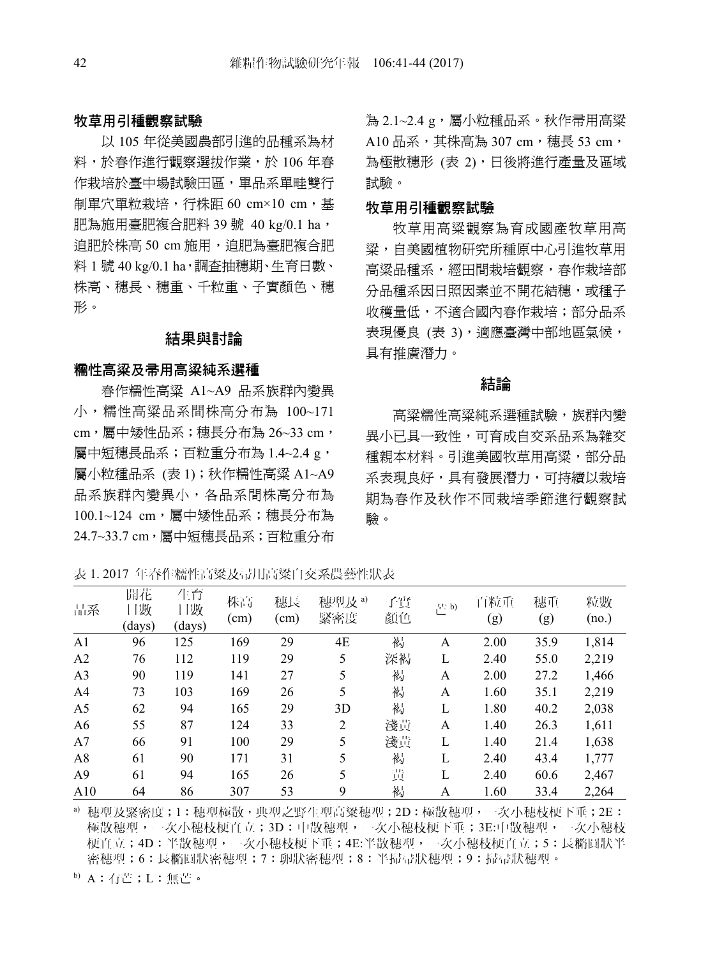### 牧草用引種觀察試驗

以 105 年從美國農部引進的品種系為材 料,於春作進行觀察選拔作業,於 106 年春 作栽培於臺中場試驗田區,單品系單畦雙行 制單穴單粒栽培, 行株距 60 cm×10 cm, 基 肥為施用臺肥複合肥料 39號 40 kg/0.1 ha, 追肥於株高 50 cm 施用,追肥為臺肥複合肥 料 1號 40 kg/0.1 ha,調查抽穗期、生育日數、 株高、穗長、穗重、千粒重、子實顏色、穗 形。

## 結果與討論

#### 糯性高粱及帚用高粱純系選種

春作糯性高粱 A1~A9 品系族群內變異 小,糯性高粱品系間株高分布為 100~171 cm,屬中矮性品系;穗長分布為 26~33 cm, 屬中短穗長品系;百粒重分布為 1.4~2.4 g, 屬小粒種品系 (表 1);秋作糯性高粱 A1~A9 品系族群內變異小,各品系間株高分布為 100.1~124 cm,屬中矮性品系;穗長分布為 24.7~33.7 cm,屬中短穗長品系;百粒重分布

為 2.1~2.4 g, 屬小粒種品系。秋作帚用高粱 A10 品系,其株高為 307 cm,穗長 53 cm, 為極散穗形 (表 2),日後將淮行產量及區域 試驗。

#### 牧草用引種觀察試驗

牧草用高粱觀察為育成國產牧草用高 粱,自美國植物研究所種原中心引進牧草用 高粱品種系,經田間栽培觀察,春作栽培部 分品種系因日照因素並不開花結穗,或種子 收穫量低,不適合國內春作栽培;部分品系 表現優良 (表 3),適應臺灣中部地區氣候, 具有推廣潛力。

### 結論

高粱糯性高粱純系選種試驗,族群內變 異小已具一致性,可育成自交系品系為雜交 種親本材料。引進美國牧草用高粱,部分品 系表現良好,具有發展潛力,可持續以栽培 期為春作及秋作不同栽培季節進行觀察試 驗。

表 1. 2017 年春作糯性高粱及帚用高粱自交系農藝性狀表

| 品系             | 開花<br>日數<br>(days) | 生育<br>日數<br>(days) | 株高<br>(cm) | 穗長<br>$\rm (cm)$ | 穗型及 <sup>a)</sup><br>緊密度 | 子實<br>顏色 | 芒 b) | 百粒重<br>(g) | 穗重<br>(g) | 粒數<br>(no.) |
|----------------|--------------------|--------------------|------------|------------------|--------------------------|----------|------|------------|-----------|-------------|
| A <sub>1</sub> | 96                 | 125                | 169        | 29               | 4E                       | 褐        | A    | 2.00       | 35.9      | 1,814       |
| A2             | 76                 | 112                | 119        | 29               | 5                        | 深褐       | L    | 2.40       | 55.0      | 2,219       |
| A <sub>3</sub> | 90                 | 119                | 141        | 27               | 5                        | 褐        | A    | 2.00       | 27.2      | 1,466       |
| A <sub>4</sub> | 73                 | 103                | 169        | 26               | 5                        | 褐        | A    | 1.60       | 35.1      | 2,219       |
| A <sub>5</sub> | 62                 | 94                 | 165        | 29               | 3D                       | 褐        | L    | 1.80       | 40.2      | 2,038       |
| A6             | 55                 | 87                 | 124        | 33               | 2                        | 淺黃       | A    | 1.40       | 26.3      | 1,611       |
| A7             | 66                 | 91                 | 100        | 29               | 5                        | 淺黃       | L    | 1.40       | 21.4      | 1,638       |
| A8             | 61                 | 90                 | 171        | 31               | 5                        | 褐        | L    | 2.40       | 43.4      | 1,777       |
| A <sup>9</sup> | 61                 | 94                 | 165        | 26               | 5                        | 黃        | L    | 2.40       | 60.6      | 2,467       |
| A10            | 64                 | 86                 | 307        | 53               | 9                        | 褐        | A    | 1.60       | 33.4      | 2,264       |

a) 穗型及緊密度;1:穗型極散,典型之野生型高粱穗型;2D:極散穗型,一次小穗枝梗下垂;2E: 極散穗型,一次小穗枝梗直立;3D:中散穗型,一次小穗枝梗下垂;3E:中散穗型,一次小穗枝 梗直立;4D:半散穗型,一次小穗枝梗下垂;4E:半散穗型,一次小穗枝梗直立;5:長橢圓狀半 密穗型;6:長橢圓狀密穗型;7:卵狀密穗型;8:半掃帚狀穗型;9:掃帚狀穗型。

b) A:有芒;L:無芒。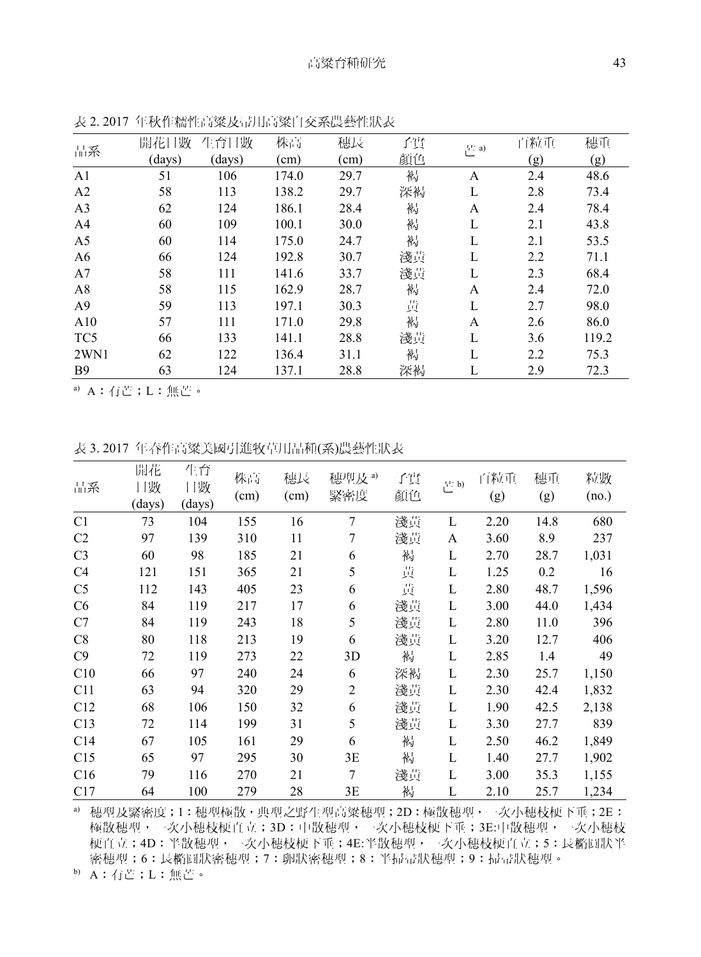|                 | 開花日數   | 生育日數   | 株高    | 穗長            | 子實 | 芒 a) | 百粒重 | 穗重    |
|-----------------|--------|--------|-------|---------------|----|------|-----|-------|
| 品系              | (days) | (days) | (cm)  | $\text{cm}$ ) | 顏色 |      | (g) | (g)   |
| A <sub>1</sub>  | 51     | 106    | 174.0 | 29.7          | 褐  | A    | 2.4 | 48.6  |
| A <sub>2</sub>  | 58     | 113    | 138.2 | 29.7          | 深褐 | L    | 2.8 | 73.4  |
| A <sub>3</sub>  | 62     | 124    | 186.1 | 28.4          | 褐  | A    | 2.4 | 78.4  |
| A <sub>4</sub>  | 60     | 109    | 100.1 | 30.0          | 褐  | L    | 2.1 | 43.8  |
| A5              | 60     | 114    | 175.0 | 24.7          | 褐  | L    | 2.1 | 53.5  |
| A <sub>6</sub>  | 66     | 124    | 192.8 | 30.7          | 淺黃 | L    | 2.2 | 71.1  |
| A7              | 58     | 111    | 141.6 | 33.7          | 淺黃 | L    | 2.3 | 68.4  |
| A8              | 58     | 115    | 162.9 | 28.7          | 褐  | A    | 2.4 | 72.0  |
| A <sub>9</sub>  | 59     | 113    | 197.1 | 30.3          | 黃  | L    | 2.7 | 98.0  |
| A10             | 57     | 111    | 171.0 | 29.8          | 褐  | A    | 2.6 | 86.0  |
| TC <sub>5</sub> | 66     | 133    | 141.1 | 28.8          | 淺黃 | L    | 3.6 | 119.2 |
| 2WN1            | 62     | 122    | 136.4 | 31.1          | 褐  |      | 2.2 | 75.3  |
| <b>B</b> 9      | 63     | 124    | 137.1 | 28.8          | 深褐 | L    | 2.9 | 72.3  |

表 2. 2017 年秋作糯性高粱及帚用高粱自交系農藝性狀表

a) A:有芒;L:無芒。

表 3. 2017 年春作高粱美國引進牧草用品種(系)農藝性狀表

| 品系             | 開花<br>日數<br>(days) | 生育<br>日數<br>(days) | 株高<br>(cm) | 穗長<br>(cm) | 穗型及 <sup>a)</sup><br>緊密度 | 子實<br>顏色 | 芒 b) | 百粒重<br>(g) | 穗重<br>(g) | 粒數<br>(no.) |
|----------------|--------------------|--------------------|------------|------------|--------------------------|----------|------|------------|-----------|-------------|
| C1             | 73                 | 104                | 155        | 16         | 7                        | 淺黃       | L    | 2.20       | 14.8      | 680         |
| C2             | 97                 | 139                | 310        | 11         | 7                        | 淺黃       | A    | 3.60       | 8.9       | 237         |
| C <sub>3</sub> | 60                 | 98                 | 185        | 21         | 6                        | 褐        | L    | 2.70       | 28.7      | 1,031       |
| C4             | 121                | 151                | 365        | 21         | 5                        | 黃        | L    | 1.25       | 0.2       | 16          |
| C <sub>5</sub> | 112                | 143                | 405        | 23         | 6                        | 黃        | L    | 2.80       | 48.7      | 1,596       |
| C6             | 84                 | 119                | 217        | 17         | 6                        | 淺黃       | L    | 3.00       | 44.0      | 1,434       |
| C7             | 84                 | 119                | 243        | 18         | 5                        | 淺黃       | L    | 2.80       | 11.0      | 396         |
| C8             | 80                 | 118                | 213        | 19         | 6                        | 淺黃       | L    | 3.20       | 12.7      | 406         |
| C9             | 72                 | 119                | 273        | 22         | 3D                       | 褐        | L    | 2.85       | 1.4       | 49          |
| C10            | 66                 | 97                 | 240        | 24         | 6                        | 深褐       | L    | 2.30       | 25.7      | 1,150       |
| C11            | 63                 | 94                 | 320        | 29         | $\overline{c}$           | 淺黃       | L    | 2.30       | 42.4      | 1,832       |
| C12            | 68                 | 106                | 150        | 32         | 6                        | 淺黃       | L    | 1.90       | 42.5      | 2,138       |
| C13            | 72                 | 114                | 199        | 31         | 5                        | 淺黃       | L    | 3.30       | 27.7      | 839         |
| C14            | 67                 | 105                | 161        | 29         | 6                        | 褐        | L    | 2.50       | 46.2      | 1,849       |
| C15            | 65                 | 97                 | 295        | 30         | 3Ε                       | 褐        | L    | 1.40       | 27.7      | 1,902       |
| C16            | 79                 | 116                | 270        | 21         | 7                        | 淺黃       | L    | 3.00       | 35.3      | 1,155       |
| C17            | 64                 | 100                | 279        | 28         | 3Ε                       | 褐        | L    | 2.10       | 25.7      | 1,234       |

a) 穗型及緊密度;1:穗型極散,典型之野生型高粱穗型;2D:極散穗型,一次小穗枝梗下垂;2E: 極散穗型,一次小穗枝梗直立;3D:中散穗型,一次小穗枝梗下垂;3E:中散穗型,一次小穗枝 梗直立;4D:半散穗型,一次小穗枝梗下垂;4E:半散穗型,一次小穗枝梗直立;5:長橢圓狀半 密穗型;6:長橢圓狀密穗型;7:卵狀密穗型;8:半掃帚狀穗型;9:掃帚狀穗型。

b) A:有芒;L:無芒。